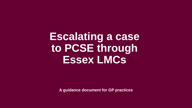**Escalating a case to PCSE through Essex LMCs**

**A guidance document for GP practices**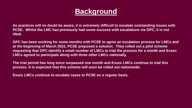## **Background**

**As practices will no doubt be aware, it is extremely difficult to escalate outstanding issues with PCSE. Whilst the LMC has previously had some success with escalations via GPC, it is not ideal.**

**GPC has been working for some months with PCSE to agree an escalation process for LMCs and at the beginning of March 2022, PCSE proposed a solution. They rolled out a pilot scheme requesting that GPC identify a small number of LMCs to trial the process for a month and Essex LMCs agreed to participate along with three other LMCs nationally.**

**The trial period has long since surpassed one month and Essex LMCs continue to trial this process. It is expected that this scheme will soon be rolled out nationwide.**

**Essex LMCs continue to escalate cases to PCSE on a regular basis.**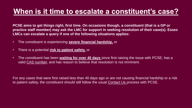# **When is it time to escalate a constituent's case?**

**PCSE aims to get things right, first time. On occasions though, a constituent (that is a GP or practice staff member) may ask the LMC for support in seeking resolution of their case(s). Essex LMCs can escalate a query if one of the following situations applies:**

- The constituent is experiencing **severe financial hardship,** or
- There is a potential **risk to patient safety,** or
- The constituent has been **waiting for over 40 days** since first raising the issue with PCSE, has a valid CAS number, and has reason to believe that resolution is not imminent.

For any cases that were first raised less than 40 days ago or are not causing financial hardship or a risk to patient safety, the constituent should still follow the usual [Contact Us](https://pcse.england.nhs.uk/contact-us/) process with PCSE.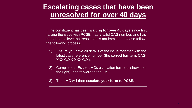### **Escalating cases that have been unresolved for over 40 days**

If the constituent has been **waiting for over 40 days** since first raising the issue with PCSE, has a valid CAS number, and has reason to believe that resolution is not imminent, please follow the following process.

- 1) Ensure you have all details of the issue together with the latest case reference number (the correct format is CAS-XXXXXXX-XXXXXX).
- 2) Complete an Essex LMCs escalation form (as shown on the right), and forward to the LMC.

**\_\_\_\_\_\_\_\_\_\_\_\_\_\_\_\_\_\_\_\_\_\_\_\_\_\_\_\_\_\_\_\_\_\_\_\_\_\_\_\_\_\_\_\_\_\_\_\_\_**

3) The LMC will then e**scalate your form to PCSE.**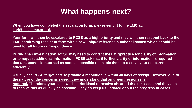### **What happens next?**

**When you have completed the escalation form, please send it to the LMC at: [karl@essexlmc.org.uk](mailto:karl@essexlmc.org.uk)**

**Your form will then be escalated to PCSE as a high priority and they will then respond back to the LMC confirming receipt of form with a new unique reference number allocated which should be used for all future correspondence.**

**During their investigation, PCSE may need to contact the LMC/practice for clarity of information or to request additional information. PCSE ask that if further clarity or information is required that a response is returned as soon as possible to enable them to resolve your concerns efficiently.**

**Usually, the PCSE target date to provide a resolution is within 40 days of receipt. However, due to the nature of the concerns raised, they understand that an urgent response is required. Therefore, your case will be prioritised to resolve ahead of this timescale and they aim to resolve this as quickly as possible. They do keep us updated about the progress of cases.**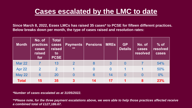## **Cases escalated by the LMC to date**

**Since March 8, 2022, Essex LMCs has raised 35 cases\* to PCSE for fifteen different practices. Below breaks down per month, the type of cases raised and resolution rates:**

| <b>Month</b>  | No. of<br><b>practices</b><br>cases<br>raised<br>for | <b>Total</b><br>cases<br>raised<br>to<br><b>PCSE</b> | <b>Payments</b><br>$***$ | <b>Pensions</b> | <b>MREs</b>    | <b>GP</b><br><b>Details</b> | No. of<br>cases<br>resolved | $%$ of<br>resolved<br>cases |
|---------------|------------------------------------------------------|------------------------------------------------------|--------------------------|-----------------|----------------|-----------------------------|-----------------------------|-----------------------------|
| <b>Mar 22</b> |                                                      | 13                                                   | $\overline{2}$           | 8               | 3              | $\overline{0}$              |                             | 54%                         |
| Apr 22        | $\overline{2}$                                       | $\overline{2}$                                       |                          | $\overline{0}$  | $\overline{0}$ |                             |                             | 50%                         |
| <b>May 22</b> | 6                                                    | 20                                                   | $\overline{0}$           | 6               | 14             | $\overline{0}$              | 0                           | $0\%$                       |
| <b>Total</b>  | 15                                                   | 35                                                   | 3                        | 14              | 17             |                             | 8                           | 23%                         |

*\*Number of cases escalated as at 31/05/2022.*

*\*\*Please note, for the three payment escalations above, we were able to help those practices affected receive a combined total of £127,186.67.*